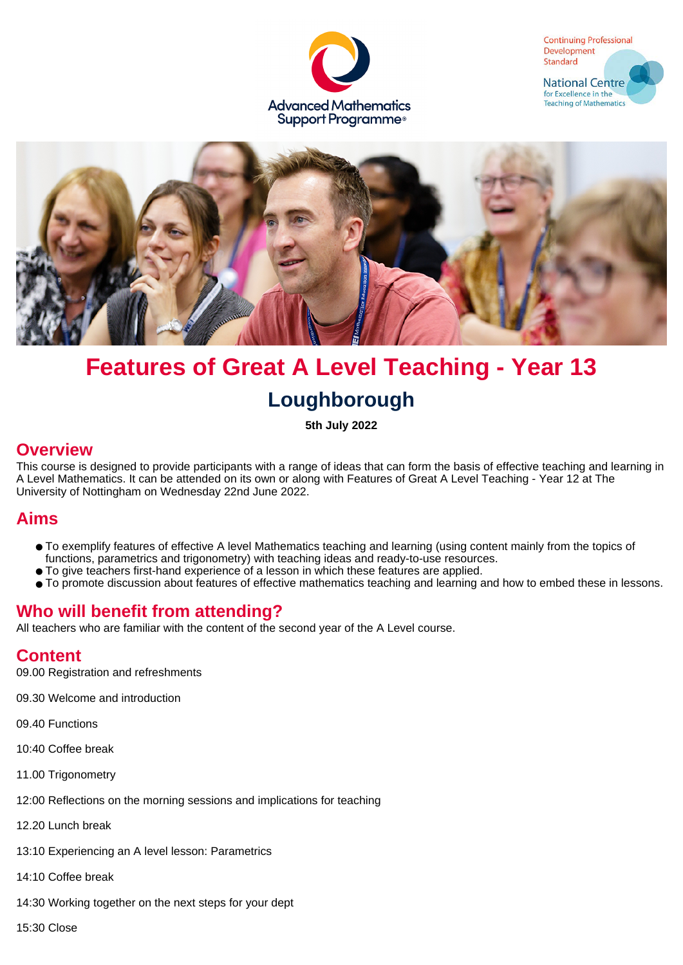





# **Features of Great A Level Teaching - Year 13 Loughborough**

**5th July 2022**

#### **Overview**

This course is designed to provide participants with a range of ideas that can form the basis of effective teaching and learning in A Level Mathematics. It can be attended on its own or along with Features of Great A Level Teaching - Year 12 at The University of Nottingham on Wednesday 22nd June 2022.

### **Aims**

- To exemplify features of effective A level Mathematics teaching and learning (using content mainly from the topics of functions, parametrics and trigonometry) with teaching ideas and ready-to-use resources.
- To give teachers first-hand experience of a lesson in which these features are applied.
- To promote discussion about features of effective mathematics teaching and learning and how to embed these in lessons.

## **Who will benefit from attending?**

All teachers who are familiar with the content of the second year of the A Level course.

## **Content**

09.00 Registration and refreshments

09.30 Welcome and introduction

09.40 Functions

10:40 Coffee break

11.00 Trigonometry

12:00 Reflections on the morning sessions and implications for teaching

12.20 Lunch break

13:10 Experiencing an A level lesson: Parametrics

14:10 Coffee break

14:30 Working together on the next steps for your dept

15:30 Close